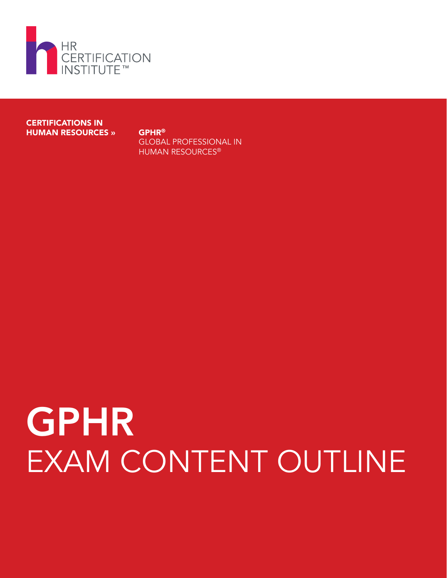

CERTIFICATIONS IN HUMAN RESOURCES » GPHR®

GLOBAL PROFESSIONAL IN HUMAN RESOURCES®

# GPHR EXAM CONTENT OUTLINE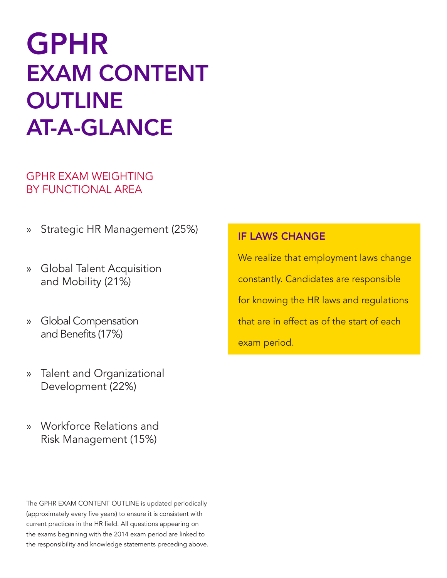# GPHR EXAM CONTENT **OUTLINE** AT-A-GLANCE

#### GPHR EXAM WEIGHTING BY FUNCTIONAL AREA

- » Strategic HR Management (25%)
- » Global Talent Acquisition and Mobility (21%)
- » Global Compensation and Benefits (17%)
- » Talent and Organizational Development (22%)
- » Workforce Relations and Risk Management (15%)

The GPHR EXAM CONTENT OUTLINE is updated periodically (approximately every five years) to ensure it is consistent with current practices in the HR field. All questions appearing on the exams beginning with the 2014 exam period are linked to the responsibility and knowledge statements preceding above.

#### IF LAWS CHANGE

We realize that employment laws change constantly. Candidates are responsible for knowing the HR laws and regulations that are in effect as of the start of each exam period.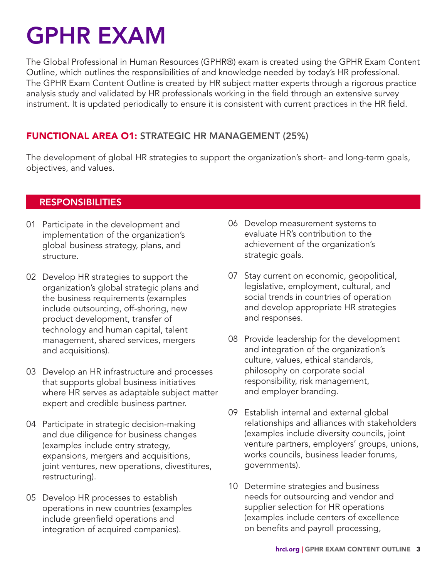# GPHR EXAM

The Global Professional in Human Resources (GPHR®) exam is created using the GPHR Exam Content Outline, which outlines the responsibilities of and knowledge needed by today's HR professional. The GPHR Exam Content Outline is created by HR subject matter experts through a rigorous practice analysis study and validated by HR professionals working in the field through an extensive survey instrument. It is updated periodically to ensure it is consistent with current practices in the HR field.

#### FUNCTIONAL AREA O1: STRATEGIC HR MANAGEMENT (25%)

The development of global HR strategies to support the organization's short- and long-term goals, objectives, and values.

#### RESPONSIBILITIES

- 01 Participate in the development and implementation of the organization's global business strategy, plans, and structure.
- 02 Develop HR strategies to support the organization's global strategic plans and the business requirements (examples include outsourcing, off-shoring, new product development, transfer of technology and human capital, talent management, shared services, mergers and acquisitions).
- 03 Develop an HR infrastructure and processes that supports global business initiatives where HR serves as adaptable subject matter expert and credible business partner.
- 04 Participate in strategic decision-making and due diligence for business changes (examples include entry strategy, expansions, mergers and acquisitions, joint ventures, new operations, divestitures, restructuring).
- 05 Develop HR processes to establish operations in new countries (examples include greenfield operations and integration of acquired companies).
- 06 Develop measurement systems to evaluate HR's contribution to the achievement of the organization's strategic goals.
- 07 Stay current on economic, geopolitical, legislative, employment, cultural, and social trends in countries of operation and develop appropriate HR strategies and responses.
- 08 Provide leadership for the development and integration of the organization's culture, values, ethical standards, philosophy on corporate social responsibility, risk management, and employer branding.
- 09 Establish internal and external global relationships and alliances with stakeholders (examples include diversity councils, joint venture partners, employers' groups, unions, works councils, business leader forums, governments).
- 10 Determine strategies and business needs for outsourcing and vendor and supplier selection for HR operations (examples include centers of excellence on benefits and payroll processing,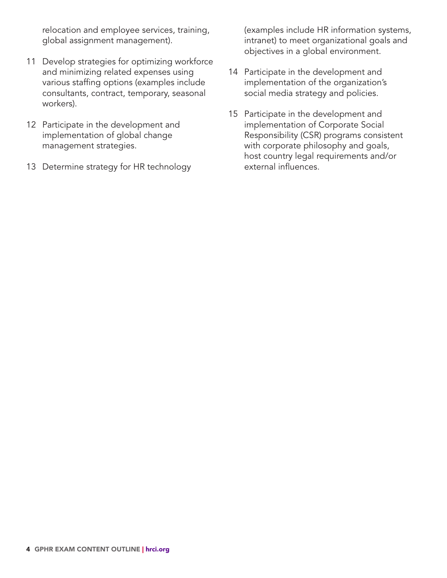relocation and employee services, training, global assignment management).

- 11 Develop strategies for optimizing workforce and minimizing related expenses using various staffing options (examples include consultants, contract, temporary, seasonal workers).
- 12 Participate in the development and implementation of global change management strategies.
- 13 Determine strategy for HR technology

(examples include HR information systems, intranet) to meet organizational goals and objectives in a global environment.

- 14 Participate in the development and implementation of the organization's social media strategy and policies.
- 15 Participate in the development and implementation of Corporate Social Responsibility (CSR) programs consistent with corporate philosophy and goals, host country legal requirements and/or external influences.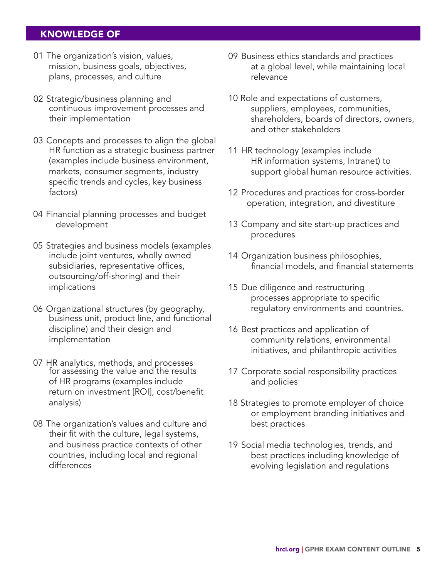- 01 The organization's vision, values, mission, business goals, objectives, plans, processes, and culture
- 02 Strategic/business planning and continuous improvement processes and their implementation
- 03 Concepts and processes to align the global HR function as a strategic business partner (examples include business environment, markets, consumer segments, industry specific trends and cycles, key business factors)
- 04 Financial planning processes and budget development
- 05 Strategies and business models (examples include joint ventures, wholly owned subsidiaries, representative offices, outsourcing/off-shoring) and their implications
- 06 Organizational structures (by geography, business unit, product line, and functional discipline) and their design and implementation
- 07 HR analytics, methods, and processes for assessing the value and the results of HR programs (examples include return on investment [ROI], cost/benefit analysis)
- 08 The organization's values and culture and their fit with the culture, legal systems, and business practice contexts of other countries, including local and regional differences
- 09 Business ethics standards and practices at a global level, while maintaining local relevance
- 10 Role and expectations of customers, suppliers, employees, communities, shareholders, boards of directors, owners, and other stakeholders
- 11 HR technology (examples include HR information systems, Intranet) to support global human resource activities.
- 12 Procedures and practices for cross-border operation, integration, and divestiture
- 13 Company and site start-up practices and procedures
- 14 Organization business philosophies, financial models, and financial statements
- 15 Due diligence and restructuring processes appropriate to specific regulatory environments and countries.
- 16 Best practices and application of community relations, environmental initiatives, and philanthropic activities
- 17 Corporate social responsibility practices and policies
- 18 Strategies to promote employer of choice or employment branding initiatives and best practices
- 19 Social media technologies, trends, and best practices including knowledge of evolving legislation and regulations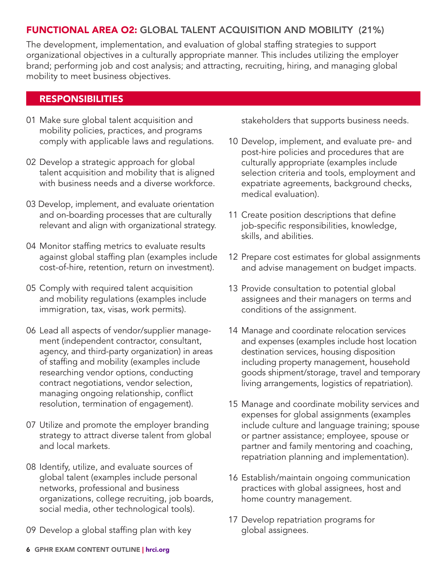#### FUNCTIONAL AREA O2: GLOBAL TALENT ACQUISITION AND MOBILITY (21%)

The development, implementation, and evaluation of global staffing strategies to support organizational objectives in a culturally appropriate manner. This includes utilizing the employer brand; performing job and cost analysis; and attracting, recruiting, hiring, and managing global mobility to meet business objectives.

#### RESPONSIBILITIES

- 01 Make sure global talent acquisition and mobility policies, practices, and programs comply with applicable laws and regulations.
- 02 Develop a strategic approach for global talent acquisition and mobility that is aligned with business needs and a diverse workforce.
- 03 Develop, implement, and evaluate orientation and on-boarding processes that are culturally relevant and align with organizational strategy.
- 04 Monitor staffing metrics to evaluate results against global staffing plan (examples include cost-of-hire, retention, return on investment).
- 05 Comply with required talent acquisition and mobility regulations (examples include immigration, tax, visas, work permits).
- 06 Lead all aspects of vendor/supplier management (independent contractor, consultant, agency, and third-party organization) in areas of staffing and mobility (examples include researching vendor options, conducting contract negotiations, vendor selection, managing ongoing relationship, conflict resolution, termination of engagement).
- 07 Utilize and promote the employer branding strategy to attract diverse talent from global and local markets.
- 08 Identify, utilize, and evaluate sources of global talent (examples include personal networks, professional and business organizations, college recruiting, job boards, social media, other technological tools).
- 09 Develop a global staffing plan with key

stakeholders that supports business needs.

- 10 Develop, implement, and evaluate pre- and post-hire policies and procedures that are culturally appropriate (examples include selection criteria and tools, employment and expatriate agreements, background checks, medical evaluation).
- 11 Create position descriptions that define job-specific responsibilities, knowledge, skills, and abilities.
- 12 Prepare cost estimates for global assignments and advise management on budget impacts.
- 13 Provide consultation to potential global assignees and their managers on terms and conditions of the assignment.
- 14 Manage and coordinate relocation services and expenses (examples include host location destination services, housing disposition including property management, household goods shipment/storage, travel and temporary living arrangements, logistics of repatriation).
- 15 Manage and coordinate mobility services and expenses for global assignments (examples include culture and language training; spouse or partner assistance; employee, spouse or partner and family mentoring and coaching, repatriation planning and implementation).
- 16 Establish/maintain ongoing communication practices with global assignees, host and home country management.
- 17 Develop repatriation programs for global assignees.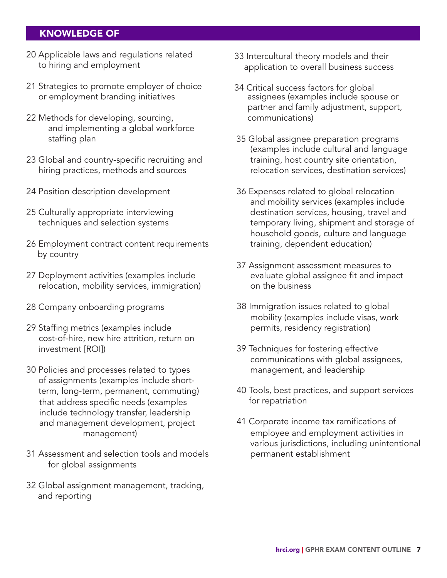- 20 Applicable laws and regulations related to hiring and employment
- 21 Strategies to promote employer of choice or employment branding initiatives
- 22 Methods for developing, sourcing, and implementing a global workforce staffing plan
- 23 Global and country-specific recruiting and hiring practices, methods and sources
- 24 Position description development
- 25 Culturally appropriate interviewing techniques and selection systems
- 26 Employment contract content requirements by country
- 27 Deployment activities (examples include relocation, mobility services, immigration)
- 28 Company onboarding programs
- 29 Staffing metrics (examples include cost-of-hire, new hire attrition, return on investment [ROI])
- 30 Policies and processes related to types of assignments (examples include short term, long-term, permanent, commuting) that address specific needs (examples include technology transfer, leadership and management development, project management)
- 31 Assessment and selection tools and models for global assignments
- 32 Global assignment management, tracking, and reporting
- 33 Intercultural theory models and their application to overall business success
- 34 Critical success factors for global assignees (examples include spouse or partner and family adjustment, support, communications)
- 35 Global assignee preparation programs (examples include cultural and language training, host country site orientation, relocation services, destination services)
- 36 Expenses related to global relocation and mobility services (examples include destination services, housing, travel and temporary living, shipment and storage of household goods, culture and language training, dependent education)
- 37 Assignment assessment measures to evaluate global assignee fit and impact on the business
- 38 Immigration issues related to global mobility (examples include visas, work permits, residency registration)
- 39 Techniques for fostering effective communications with global assignees, management, and leadership
- 40 Tools, best practices, and support services for repatriation
- 41 Corporate income tax ramifications of employee and employment activities in various jurisdictions, including unintentional permanent establishment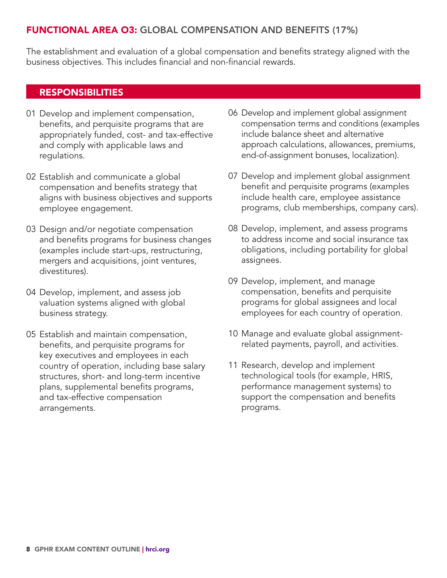#### FUNCTIONAL AREA O3: GLOBAL COMPENSATION AND BENEFITS (17%)

The establishment and evaluation of a global compensation and benefits strategy aligned with the business objectives. This includes financial and non-financial rewards.

#### RESPONSIBILITIES

- 01 Develop and implement compensation, benefits, and perquisite programs that are appropriately funded, cost- and tax-effective and comply with applicable laws and regulations.
- 02 Establish and communicate a global compensation and benefits strategy that aligns with business objectives and supports employee engagement.
- 03 Design and/or negotiate compensation and benefits programs for business changes (examples include start-ups, restructuring, mergers and acquisitions, joint ventures, divestitures).
- 04 Develop, implement, and assess job valuation systems aligned with global business strategy.
- 05 Establish and maintain compensation, benefits, and perquisite programs for key executives and employees in each country of operation, including base salary structures, short- and long-term incentive plans, supplemental benefits programs, and tax-effective compensation arrangements.
- 06 Develop and implement global assignment compensation terms and conditions (examples include balance sheet and alternative approach calculations, allowances, premiums, end-of-assignment bonuses, localization).
- 07 Develop and implement global assignment benefit and perquisite programs (examples include health care, employee assistance programs, club memberships, company cars).
- 08 Develop, implement, and assess programs to address income and social insurance tax obligations, including portability for global assignees.
- 09 Develop, implement, and manage compensation, benefits and perquisite programs for global assignees and local employees for each country of operation.
- 10 Manage and evaluate global assignmentrelated payments, payroll, and activities.
- 11 Research, develop and implement technological tools (for example, HRIS, performance management systems) to support the compensation and benefits programs.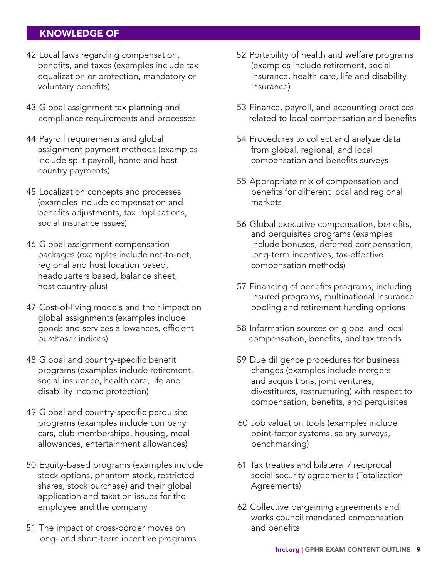- 42 Local laws regarding compensation, benefits, and taxes (examples include tax equalization or protection, mandatory or voluntary benefits)
- 43 Global assignment tax planning and compliance requirements and processes
- 44 Payroll requirements and global assignment payment methods (examples include split payroll, home and host country payments)
- 45 Localization concepts and processes (examples include compensation and benefits adjustments, tax implications, social insurance issues)
- 46 Global assignment compensation packages (examples include net-to-net, regional and host location based, headquarters based, balance sheet, host country-plus)
- 47 Cost-of-living models and their impact on global assignments (examples include goods and services allowances, efficient purchaser indices)
- 48 Global and country-specific benefit programs (examples include retirement, social insurance, health care, life and disability income protection)
- 49 Global and country-specific perquisite programs (examples include company cars, club memberships, housing, meal allowances, entertainment allowances)
- 50 Equity-based programs (examples include stock options, phantom stock, restricted shares, stock purchase) and their global application and taxation issues for the employee and the company
- 51 The impact of cross-border moves on long- and short-term incentive programs
- 52 Portability of health and welfare programs (examples include retirement, social insurance, health care, life and disability insurance)
- 53 Finance, payroll, and accounting practices related to local compensation and benefits
- 54 Procedures to collect and analyze data from global, regional, and local compensation and benefits surveys
- 55 Appropriate mix of compensation and benefits for different local and regional markets
- 56 Global executive compensation, benefits, and perquisites programs (examples include bonuses, deferred compensation, long-term incentives, tax-effective compensation methods)
- 57 Financing of benefits programs, including insured programs, multinational insurance pooling and retirement funding options
- 58 Information sources on global and local compensation, benefits, and tax trends
- 59 Due diligence procedures for business changes (examples include mergers and acquisitions, joint ventures, divestitures, restructuring) with respect to compensation, benefits, and perquisites
- 60 Job valuation tools (examples include point-factor systems, salary surveys, benchmarking)
- 61 Tax treaties and bilateral / reciprocal social security agreements (Totalization Agreements)
- 62 Collective bargaining agreements and works council mandated compensation and benefits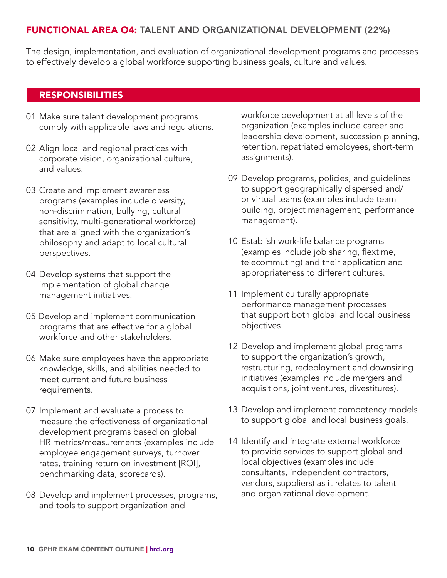#### FUNCTIONAL AREA O4: TALENT AND ORGANIZATIONAL DEVELOPMENT (22%)

The design, implementation, and evaluation of organizational development programs and processes to effectively develop a global workforce supporting business goals, culture and values.

#### RESPONSIBILITIES

- 01 Make sure talent development programs comply with applicable laws and regulations.
- 02 Align local and regional practices with corporate vision, organizational culture, and values.
- 03 Create and implement awareness programs (examples include diversity, non-discrimination, bullying, cultural sensitivity, multi-generational workforce) that are aligned with the organization's philosophy and adapt to local cultural perspectives.
- 04 Develop systems that support the implementation of global change management initiatives.
- 05 Develop and implement communication programs that are effective for a global workforce and other stakeholders.
- 06 Make sure employees have the appropriate knowledge, skills, and abilities needed to meet current and future business requirements.
- 07 Implement and evaluate a process to measure the effectiveness of organizational development programs based on global HR metrics/measurements (examples include employee engagement surveys, turnover rates, training return on investment [ROI], benchmarking data, scorecards).
- 08 Develop and implement processes, programs, and tools to support organization and

workforce development at all levels of the organization (examples include career and leadership development, succession planning, retention, repatriated employees, short-term assignments).

- 09 Develop programs, policies, and guidelines to support geographically dispersed and/ or virtual teams (examples include team building, project management, performance management).
- 10 Establish work-life balance programs (examples include job sharing, flextime, telecommuting) and their application and appropriateness to different cultures.
- 11 Implement culturally appropriate performance management processes that support both global and local business objectives.
- 12 Develop and implement global programs to support the organization's growth, restructuring, redeployment and downsizing initiatives (examples include mergers and acquisitions, joint ventures, divestitures).
- 13 Develop and implement competency models to support global and local business goals.
- 14 Identify and integrate external workforce to provide services to support global and local objectives (examples include consultants, independent contractors, vendors, suppliers) as it relates to talent and organizational development.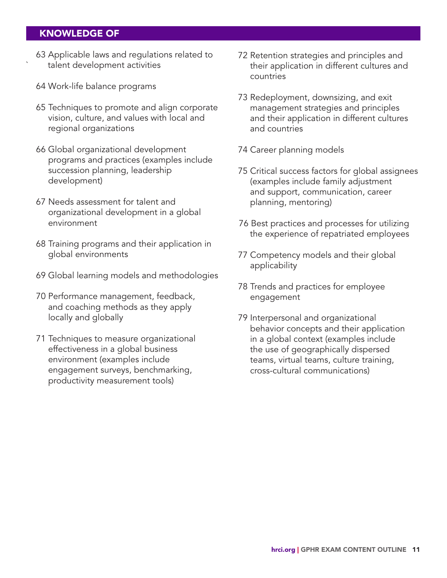- 0063 Applicable laws and regulations related to ` talent development activities
- 64 Work-life balance programs
- 65 Techniques to promote and align corporate vision, culture, and values with local and regional organizations
- 0066 Global organizational development programs and practices (examples include succession planning, leadership development)
- 67 Needs assessment for talent and organizational development in a global environment
- 0068 Training programs and their application in global environments
- 0069 Global learning models and methodologies
- 70 Performance management, feedback, and coaching methods as they apply locally and globally
- 71 Techniques to measure organizational effectiveness in a global business environment (examples include engagement surveys, benchmarking, productivity measurement tools)
- 72 Retention strategies and principles and their application in different cultures and countries
- 73 Redeployment, downsizing, and exit management strategies and principles and their application in different cultures and countries
- 74 Career planning models
- 75 Critical success factors for global assignees (examples include family adjustment and support, communication, career planning, mentoring)
- 76 Best practices and processes for utilizing the experience of repatriated employees
- 77 Competency models and their global applicability
- 78 Trends and practices for employee engagement
- 79 Interpersonal and organizational behavior concepts and their application in a global context (examples include the use of geographically dispersed teams, virtual teams, culture training, cross-cultural communications)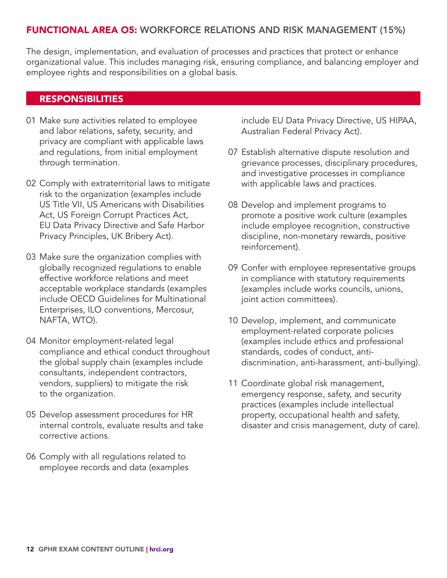#### FUNCTIONAL AREA O5: WORKFORCE RELATIONS AND RISK MANAGEMENT (15%)

The design, implementation, and evaluation of processes and practices that protect or enhance organizational value. This includes managing risk, ensuring compliance, and balancing employer and employee rights and responsibilities on a global basis.

#### RESPONSIBILITIES

- 01 Make sure activities related to employee and labor relations, safety, security, and privacy are compliant with applicable laws and regulations, from initial employment through termination.
- 02 Comply with extraterritorial laws to mitigate risk to the organization (examples include US Title VII, US Americans with Disabilities Act, US Foreign Corrupt Practices Act, EU Data Privacy Directive and Safe Harbor Privacy Principles, UK Bribery Act).
- 03 Make sure the organization complies with globally recognized regulations to enable effective workforce relations and meet acceptable workplace standards (examples include OECD Guidelines for Multinational Enterprises, ILO conventions, Mercosur, NAFTA, WTO).
- 04 Monitor employment-related legal compliance and ethical conduct throughout the global supply chain (examples include consultants, independent contractors, vendors, suppliers) to mitigate the risk to the organization.
- 05 Develop assessment procedures for HR internal controls, evaluate results and take corrective actions.
- 06 Comply with all regulations related to employee records and data (examples

include EU Data Privacy Directive, US HIPAA, Australian Federal Privacy Act).

- 07 Establish alternative dispute resolution and grievance processes, disciplinary procedures, and investigative processes in compliance with applicable laws and practices.
- 08 Develop and implement programs to promote a positive work culture (examples include employee recognition, constructive discipline, non-monetary rewards, positive reinforcement).
- 09 Confer with employee representative groups in compliance with statutory requirements (examples include works councils, unions, joint action committees).
- 10 Develop, implement, and communicate employment-related corporate policies (examples include ethics and professional standards, codes of conduct, antidiscrimination, anti-harassment, anti-bullying).
- 11 Coordinate global risk management, emergency response, safety, and security practices (examples include intellectual property, occupational health and safety, disaster and crisis management, duty of care).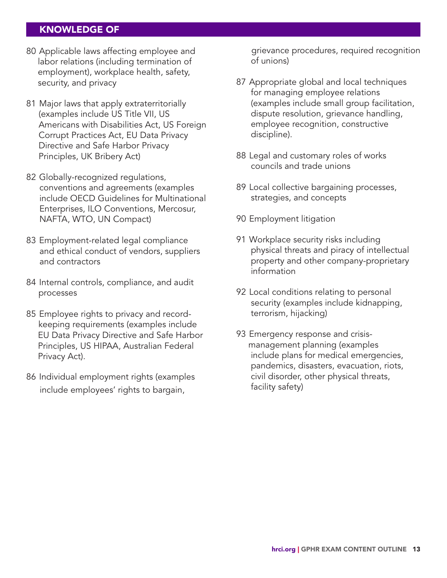- 80 Applicable laws affecting employee and labor relations (including termination of employment), workplace health, safety, security, and privacy
- 81 Major laws that apply extraterritorially (examples include US Title VII, US Americans with Disabilities Act, US Foreign Corrupt Practices Act, EU Data Privacy Directive and Safe Harbor Privacy Principles, UK Bribery Act)
- 82 Globally-recognized regulations, conventions and agreements (examples include OECD Guidelines for Multinational Enterprises, ILO Conventions, Mercosur, NAFTA, WTO, UN Compact)
- 83 Employment-related legal compliance and ethical conduct of vendors, suppliers and contractors
- 84 Internal controls, compliance, and audit processes
- 85 Employee rights to privacy and record keeping requirements (examples include EU Data Privacy Directive and Safe Harbor Principles, US HIPAA, Australian Federal Privacy Act).
- 86 Individual employment rights (examples include employees' rights to bargain,

grievance procedures, required recognition of unions)

- 87 Appropriate global and local techniques for managing employee relations (examples include small group facilitation, dispute resolution, grievance handling, employee recognition, constructive discipline).
- 88 Legal and customary roles of works councils and trade unions
- 89 Local collective bargaining processes, strategies, and concepts
- 90 Employment litigation
- 91 Workplace security risks including physical threats and piracy of intellectual property and other company-proprietary information
- 92 Local conditions relating to personal security (examples include kidnapping, terrorism, hijacking)
- 93 Emergency response and crisis management planning (examples include plans for medical emergencies, pandemics, disasters, evacuation, riots, civil disorder, other physical threats, facility safety)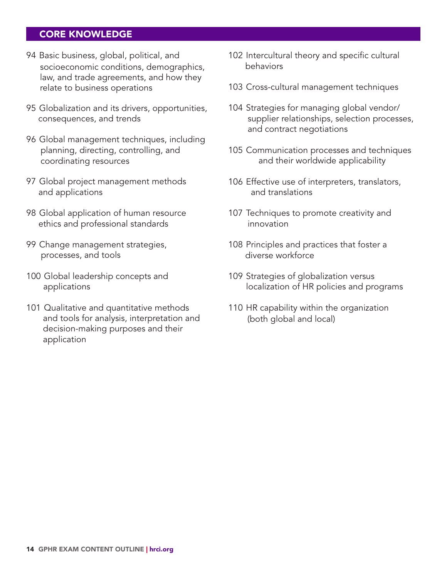#### CORE KNOWLEDGE

- 94 Basic business, global, political, and socioeconomic conditions, demographics, law, and trade agreements, and how they relate to business operations
- 95 Globalization and its drivers, opportunities, consequences, and trends
- 96 Global management techniques, including planning, directing, controlling, and coordinating resources
- 97 Global project management methods and applications
- 98 Global application of human resource ethics and professional standards
- 99 Change management strategies, processes, and tools
- 100 Global leadership concepts and applications
- 101 Qualitative and quantitative methods and tools for analysis, interpretation and decision-making purposes and their application
- 102 Intercultural theory and specific cultural behaviors
- 103 Cross-cultural management techniques
- 104 Strategies for managing global vendor/ supplier relationships, selection processes, and contract negotiations
- 105 Communication processes and techniques and their worldwide applicability
- 106 Effective use of interpreters, translators, and translations
- 107 Techniques to promote creativity and innovation
- 108 Principles and practices that foster a diverse workforce
- 109 Strategies of globalization versus localization of HR policies and programs
- 110 HR capability within the organization (both global and local)